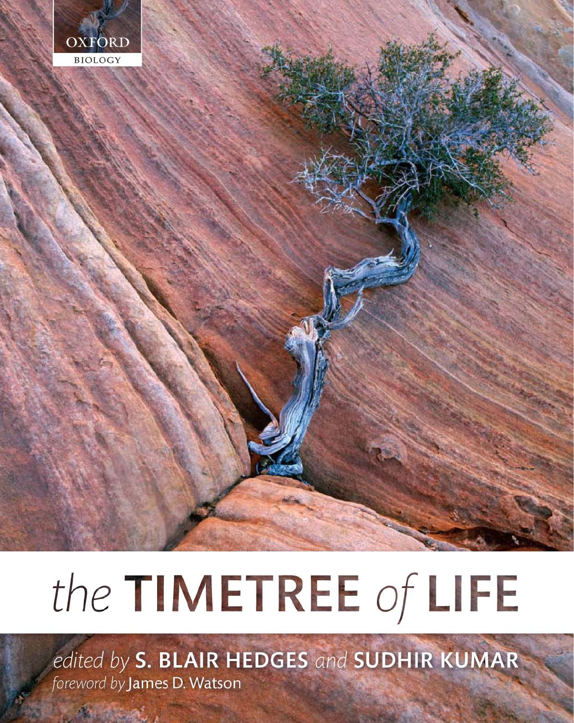

# the TIMETREE of LIFE

edited by S. BLAIR HEDGES and SUDHIR KUMAR foreword by James D. Watson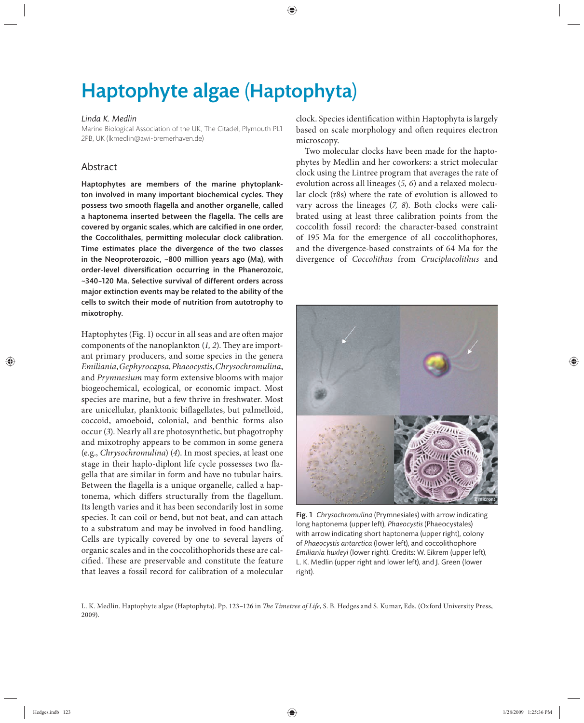# Haptophyte algae (Haptophyta)

#### *Linda K. Medlin*

Marine Biological Association of the UK, The Citadel, Plymouth PL1 2PB, UK (lkmedlin@awi-bremerhaven.de)

### Abstract

Haptophytes are members of the marine phytoplankton involved in many important biochemical cycles. They possess two smooth flagella and another organelle, called a haptonema inserted between the flagella. The cells are covered by organic scales, which are calcified in one order, the Coccolithales, permitting molecular clock calibration. Time estimates place the divergence of the two classes in the Neoproterozoic,  $\sim800$  million years ago (Ma), with order-level diversification occurring in the Phanerozoic, ~340–120 Ma. Selective survival of different orders across major extinction events may be related to the ability of the cells to switch their mode of nutrition from autotrophy to mixotrophy.

Haptophytes (Fig. 1) occur in all seas and are often major components of the nanoplankton  $(1, 2)$ . They are important primary producers, and some species in the genera *Emiliania*, *Gephyrocapsa,Phaeocystis*, *Chrysochromulina*, and *Prymnesium* may form extensive blooms with major biogeochemical, ecological, or economic impact. Most species are marine, but a few thrive in freshwater. Most are unicellular, planktonic biflagellates, but palmelloid, coccoid, amoeboid, colonial, and benthic forms also occur (*3*). Nearly all are photosynthetic, but phagotrophy and mixotrophy appears to be common in some genera (e.g., *Chrysochromulina*) (*4*). In most species, at least one stage in their haplo-diplont life cycle possesses two flagella that are similar in form and have no tubular hairs. Between the flagella is a unique organelle, called a haptonema, which differs structurally from the flagellum. Its length varies and it has been secondarily lost in some species. It can coil or bend, but not beat, and can attach to a substratum and may be involved in food handling. Cells are typically covered by one to several layers of organic scales and in the coccolithophorids these are calcified. These are preservable and constitute the feature that leaves a fossil record for calibration of a molecular

clock. Species identification within Haptophyta is largely based on scale morphology and often requires electron microscopy.

Two molecular clocks have been made for the haptophytes by Medlin and her coworkers: a strict molecular clock using the Lintree program that averages the rate of evolution across all lineages (*5, 6*) and a relaxed molecular clock (r8s) where the rate of evolution is allowed to vary across the lineages (*7, 8*). Both clocks were calibrated using at least three calibration points from the coccolith fossil record: the character-based constraint of 195 Ma for the emergence of all coccolithophores, and the divergence-based constraints of 64 Ma for the divergence of *Coccolithus* from *Cruciplacolithus* and



Fig. 1 *Chrysochromulina* (Prymnesiales) with arrow indicating long haptonema (upper left), *Phaeocystis* (Phaeocystales) with arrow indicating short haptonema (upper right), colony of *Phaeocystis antarctica* (lower left), and coccolithophore *Emiliania huxleyi* (lower right). Credits: W. Eikrem (upper left), L. K. Medlin (upper right and lower left), and J. Green (lower right).

L. K. Medlin. Haptophyte algae (Haptophyta). Pp. 123-126 in *The Timetree of Life*, S. B. Hedges and S. Kumar, Eds. (Oxford University Press, 2009).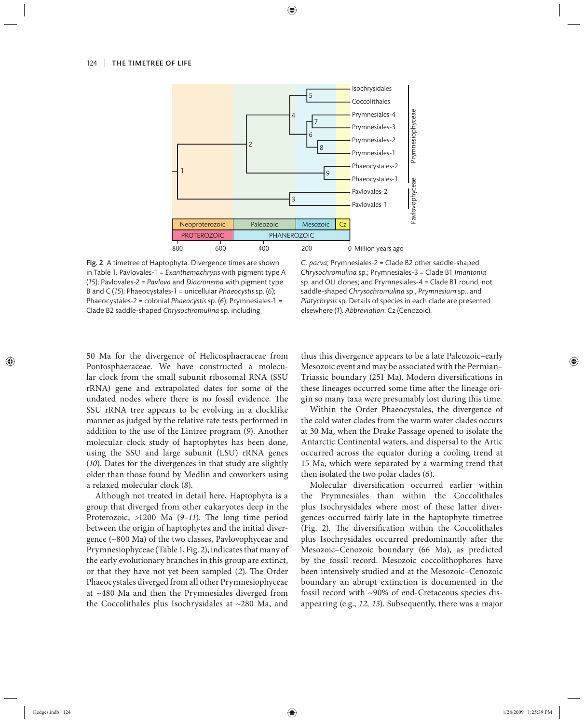

Fig. 2 A timetree of Haptophyta. Divergence times are shown in Table 1. Pavlovales-1 = *Exanthemachrysis* with pigment type A (*15*); Pavlovales-2 = *Pavlova* and *Diacronema* with pigment type B and C (*15*); Phaeocystales-1 = unicellular *Phaeocystis* sp. (*6*); Phaeocystales-2 = colonial *Phaeocystis* sp. (*6*); Prymnesiales-1 = Clade B2 saddle-shaped *Chrysochromulina* sp. including

*C. parva*; Prymnesiales-2 = Clade B2 other saddle-shaped *Chrysochromulina* sp.; Prymnesiales-3 = Clade B1 *Imantonia* sp. and OLI clones; and Prymnesiales-4 = Clade B1 round, not saddle-shaped *Chrysochromulina* sp., *Prymnesium* sp., and *Platychrysis* sp. Details of species in each clade are presented elsewhere (*1*). *Abbreviation*: Cz (Cenozoic).

50 Ma for the divergence of Helicosphaeraceae from Pontosphaeraceae. We have constructed a molecular clock from the small subunit ribosomal RNA (SSU rRNA) gene and extrapolated dates for some of the undated nodes where there is no fossil evidence. The SSU rRNA tree appears to be evolving in a clocklike manner as judged by the relative rate tests performed in addition to the use of the Lintree program (*9*). Another molecular clock study of haptophytes has been done, using the SSU and large subunit (LSU) rRNA genes (*10*). Dates for the divergences in that study are slightly older than those found by Medlin and coworkers using a relaxed molecular clock (*8*).

Although not treated in detail here, Haptophyta is a group that diverged from other eu karyotes deep in the Proterozoic, >1200 Ma (9-11). The long time period between the origin of haptophytes and the initial divergence (~800 Ma) of the two classes, Pavlovophyceae and Prymnesiophyceae (Table 1, Fig. 2), indicates that many of the early evolutionary branches in this group are extinct, or that they have not yet been sampled (2). The Order Phaeocystales diverged from all other Prymnesiophyceae at ~480 Ma and then the Prymnesiales diverged from the Coccolithales plus Isochrysidales at ~280 Ma, and

thus this divergence appears to be a late Paleozoic–early Mesozoic event and may be associated with the Permian– Triassic boundary (251 Ma). Modern diversifications in these lineages occurred some time after the lineage origin so many taxa were presumably lost during this time.

Within the Order Phaeocystales, the divergence of the cold water clades from the warm water clades occurs at 30 Ma, when the Drake Passage opened to isolate the Antarctic Continental waters, and dispersal to the Artic occurred across the equator during a cooling trend at 15 Ma, which were separated by a warming trend that then isolated the two polar clades (*6*).

Molecular diversification occurred earlier within the Prymnesiales than within the Coccolithales plus Isochrysidales where most of these latter divergences occurred fairly late in the haptophyte timetree (Fig. 2). The diversification within the Coccolithales plus Isochrysidales occurred predominantly after the Mesozoic–Cenozoic boundary (66 Ma), as predicted by the fossil record. Mesozoic coccolithophores have been intensively studied and at the Mesozoic–Cenozoic boundary an abrupt extinction is documented in the fossil record with ~90% of end-Cretaceous species disappearing (e.g., *12, 13*). Subsequently, there was a major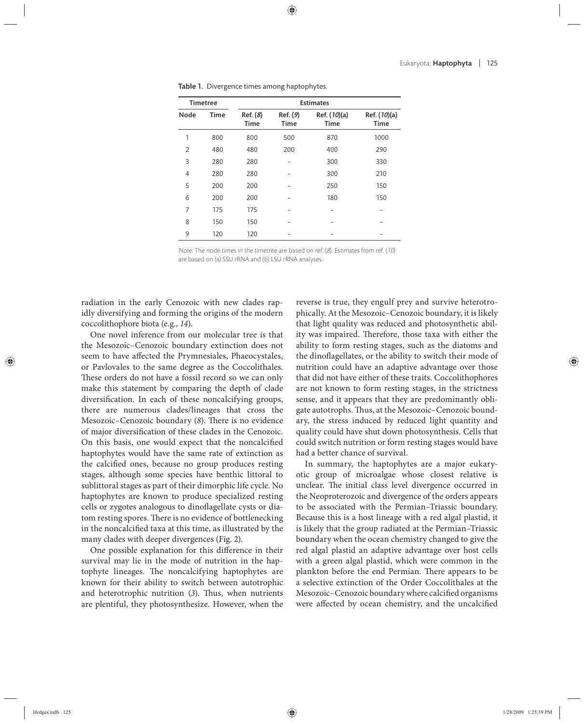|  |  |  | Table 1. Divergence times among haptophytes. |  |  |
|--|--|--|----------------------------------------------|--|--|
|--|--|--|----------------------------------------------|--|--|

| <b>Timetree</b> |      | <b>Estimates</b>        |                         |                             |                             |  |  |
|-----------------|------|-------------------------|-------------------------|-----------------------------|-----------------------------|--|--|
| Node            | Time | Ref. (8)<br><b>Time</b> | Ref. (9)<br><b>Time</b> | Ref. (10)(a)<br><b>Time</b> | Ref. (10)(a)<br><b>Time</b> |  |  |
| 1               | 800  | 800                     | 500                     | 870                         | 1000                        |  |  |
| 2               | 480  | 480                     | 200                     | 400                         | 290                         |  |  |
| 3               | 280  | 280                     |                         | 300                         | 330                         |  |  |
| 4               | 280  | 280                     |                         | 300                         | 210                         |  |  |
| 5               | 200  | 200                     |                         | 250                         | 150                         |  |  |
| 6               | 200  | 200                     |                         | 180                         | 150                         |  |  |
| 7               | 175  | 175                     |                         |                             |                             |  |  |
| 8               | 150  | 150                     |                         |                             |                             |  |  |
| 9               | 120  | 120                     |                         |                             |                             |  |  |

Note: The node times in the timetree are based on ref. (8). Estimates from ref. (10) are based on (a) SSU rRNA and (b) LSU rRNA analyses.

radiation in the early Cenozoic with new clades rapidly diversifying and forming the origins of the modern coccolithophore biota (e.g., *14*).

One novel inference from our molecular tree is that the Mesozoic–Cenozoic boundary extinction does not seem to have affected the Prymnesiales, Phaeocystales, or Pavlovales to the same degree as the Coccolithales. These orders do not have a fossil record so we can only make this statement by comparing the depth of clade diversification. In each of these noncalcifying groups, there are numerous clades/lineages that cross the Mesozoic–Cenozoic boundary (8). There is no evidence of major diversification of these clades in the Cenozoic. On this basis, one would expect that the noncalcified haptophytes would have the same rate of extinction as the calcified ones, because no group produces resting stages, although some species have benthic littoral to sublittoral stages as part of their dimorphic life cycle. No haptophytes are known to produce specialized resting cells or zygotes analogous to dinoflagellate cysts or diatom resting spores. There is no evidence of bottlenecking in the noncalcified taxa at this time, as illustrated by the many clades with deeper divergences (Fig. 2).

One possible explanation for this difference in their survival may lie in the mode of nutrition in the haptophyte lineages. The noncalcifying haptophytes are known for their ability to switch between autotrophic and heterotrophic nutrition (3). Thus, when nutrients are plentiful, they photosynthesize. However, when the

reverse is true, they engulf prey and survive heterotrophically. At the Mesozoic–Cenozoic boundary, it is likely that light quality was reduced and photosynthetic ability was impaired. Therefore, those taxa with either the ability to form resting stages, such as the diatoms and the dinoflagellates, or the ability to switch their mode of nutrition could have an adaptive advantage over those that did not have either of these traits. Coccolithophores are not known to form resting stages, in the strictness sense, and it appears that they are predominantly obligate autotrophs. Thus, at the Mesozoic-Cenozoic boundary, the stress induced by reduced light quantity and quality could have shut down photosynthesis. Cells that could switch nutrition or form resting stages would have had a better chance of survival.

In summary, the haptophytes are a major eukaryotic group of microalgae whose closest relative is unclear. The initial class level divergence occurred in the Neoproterozoic and divergence of the orders appears to be associated with the Permian–Triassic boundary. Because this is a host lineage with a red algal plastid, it is likely that the group radiated at the Permian–Triassic boundary when the ocean chemistry changed to give the red algal plastid an adaptive advantage over host cells with a green algal plastid, which were common in the plankton before the end Permian. There appears to be a selective extinction of the Order Coccolithales at the Mesozoic–Cenozoic boundary where calcified organisms were affected by ocean chemistry, and the uncalcified